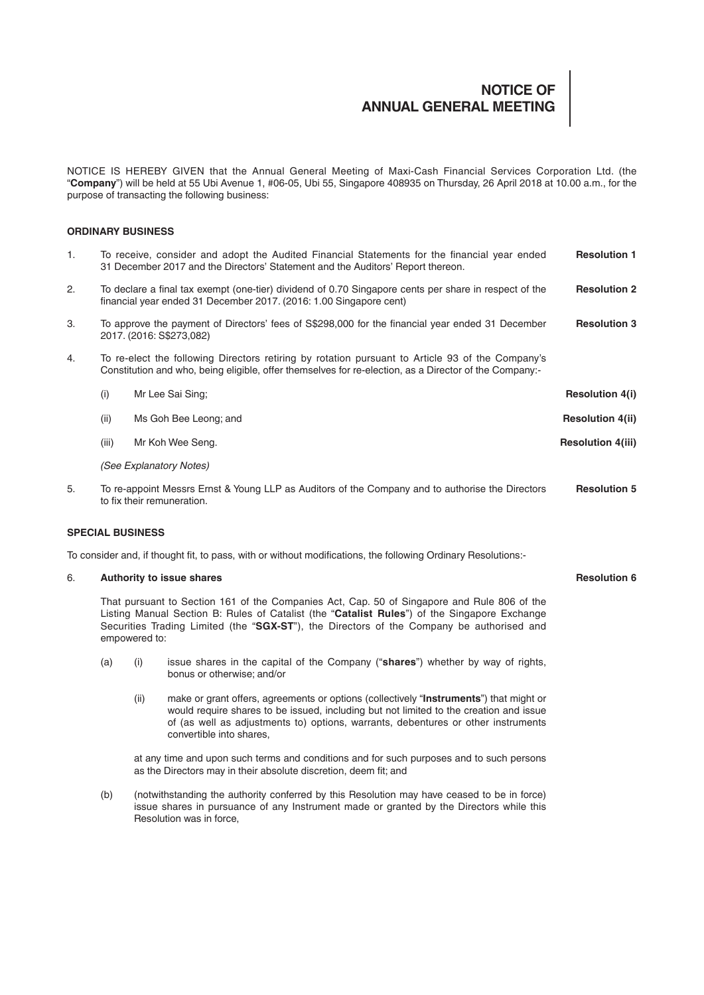# **NOTICE OF ANNUAL GENERAL MEETING**

NOTICE IS HEREBY GIVEN that the Annual General Meeting of Maxi-Cash Financial Services Corporation Ltd. (the "**Company**") will be held at 55 Ubi Avenue 1, #06-05, Ubi 55, Singapore 408935 on Thursday, 26 April 2018 at 10.00 a.m., for the purpose of transacting the following business:

# **ORDINARY BUSINESS**

| 1.                                                                                                            | To receive, consider and adopt the Audited Financial Statements for the financial year ended<br>31 December 2017 and the Directors' Statement and the Auditors' Report thereon.                                                                                                                           |      |                                                                                                                                                                                                                                                                                                   | <b>Resolution 1</b>      |
|---------------------------------------------------------------------------------------------------------------|-----------------------------------------------------------------------------------------------------------------------------------------------------------------------------------------------------------------------------------------------------------------------------------------------------------|------|---------------------------------------------------------------------------------------------------------------------------------------------------------------------------------------------------------------------------------------------------------------------------------------------------|--------------------------|
| 2.                                                                                                            | To declare a final tax exempt (one-tier) dividend of 0.70 Singapore cents per share in respect of the<br>financial year ended 31 December 2017. (2016: 1.00 Singapore cent)                                                                                                                               |      |                                                                                                                                                                                                                                                                                                   | <b>Resolution 2</b>      |
| 3.                                                                                                            | To approve the payment of Directors' fees of S\$298,000 for the financial year ended 31 December<br>2017. (2016: S\$273,082)                                                                                                                                                                              |      |                                                                                                                                                                                                                                                                                                   | <b>Resolution 3</b>      |
| 4.                                                                                                            |                                                                                                                                                                                                                                                                                                           |      | To re-elect the following Directors retiring by rotation pursuant to Article 93 of the Company's<br>Constitution and who, being eligible, offer themselves for re-election, as a Director of the Company:-                                                                                        |                          |
|                                                                                                               | (i)                                                                                                                                                                                                                                                                                                       |      | Mr Lee Sai Sing;                                                                                                                                                                                                                                                                                  | <b>Resolution 4(i)</b>   |
|                                                                                                               | (ii)                                                                                                                                                                                                                                                                                                      |      | Ms Goh Bee Leong; and                                                                                                                                                                                                                                                                             | <b>Resolution 4(ii)</b>  |
|                                                                                                               | (iii)                                                                                                                                                                                                                                                                                                     |      | Mr Koh Wee Seng.                                                                                                                                                                                                                                                                                  | <b>Resolution 4(iii)</b> |
|                                                                                                               | (See Explanatory Notes)                                                                                                                                                                                                                                                                                   |      |                                                                                                                                                                                                                                                                                                   |                          |
| 5.                                                                                                            | To re-appoint Messrs Ernst & Young LLP as Auditors of the Company and to authorise the Directors<br>to fix their remuneration.                                                                                                                                                                            |      |                                                                                                                                                                                                                                                                                                   | <b>Resolution 5</b>      |
| <b>SPECIAL BUSINESS</b>                                                                                       |                                                                                                                                                                                                                                                                                                           |      |                                                                                                                                                                                                                                                                                                   |                          |
| To consider and, if thought fit, to pass, with or without modifications, the following Ordinary Resolutions:- |                                                                                                                                                                                                                                                                                                           |      |                                                                                                                                                                                                                                                                                                   |                          |
| 6.                                                                                                            | Authority to issue shares                                                                                                                                                                                                                                                                                 |      |                                                                                                                                                                                                                                                                                                   |                          |
|                                                                                                               | That pursuant to Section 161 of the Companies Act, Cap. 50 of Singapore and Rule 806 of the<br>Listing Manual Section B: Rules of Catalist (the "Catalist Rules") of the Singapore Exchange<br>Securities Trading Limited (the "SGX-ST"), the Directors of the Company be authorised and<br>empowered to: |      |                                                                                                                                                                                                                                                                                                   |                          |
|                                                                                                               | (a)                                                                                                                                                                                                                                                                                                       | (i)  | issue shares in the capital of the Company ("shares") whether by way of rights,<br>bonus or otherwise; and/or                                                                                                                                                                                     |                          |
|                                                                                                               |                                                                                                                                                                                                                                                                                                           | (ii) | make or grant offers, agreements or options (collectively "Instruments") that might or<br>would require shares to be issued, including but not limited to the creation and issue<br>of (as well as adjustments to) options, warrants, debentures or other instruments<br>convertible into shares, |                          |
|                                                                                                               |                                                                                                                                                                                                                                                                                                           |      | at any time and upon such terms and conditions and for such purposes and to such persons                                                                                                                                                                                                          |                          |

(b) (notwithstanding the authority conferred by this Resolution may have ceased to be in force) issue shares in pursuance of any Instrument made or granted by the Directors while this Resolution was in force,

as the Directors may in their absolute discretion, deem fit; and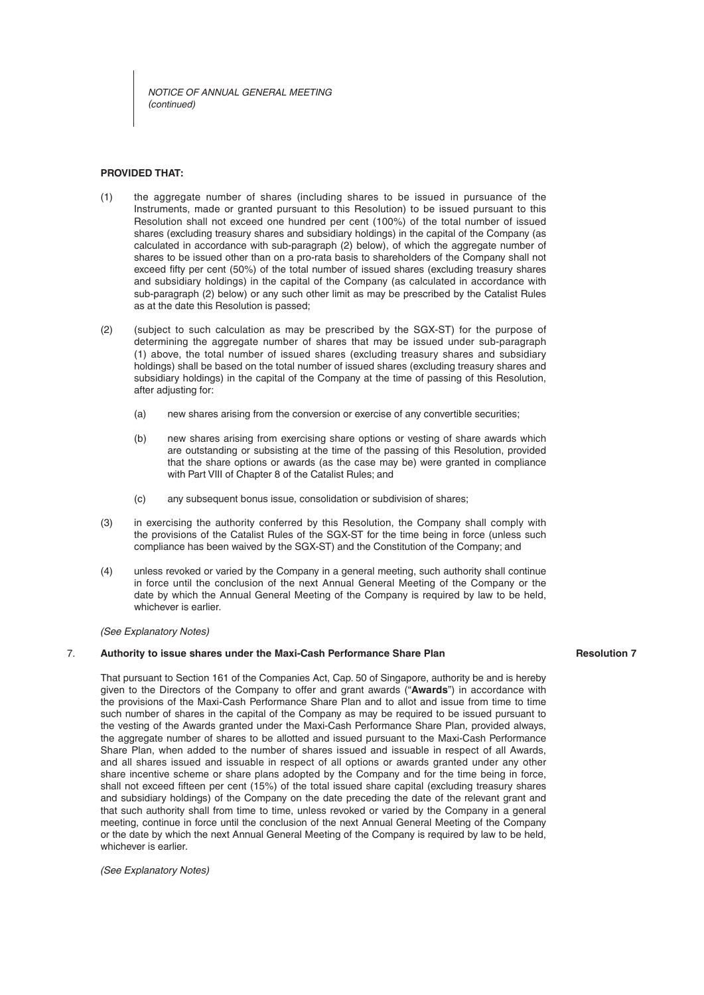*NOTICE OF ANNUAL GENERAL MEETING (continued)*

# **PROVIDED THAT:**

- (1) the aggregate number of shares (including shares to be issued in pursuance of the Instruments, made or granted pursuant to this Resolution) to be issued pursuant to this Resolution shall not exceed one hundred per cent (100%) of the total number of issued shares (excluding treasury shares and subsidiary holdings) in the capital of the Company (as calculated in accordance with sub-paragraph (2) below), of which the aggregate number of shares to be issued other than on a pro-rata basis to shareholders of the Company shall not exceed fifty per cent (50%) of the total number of issued shares (excluding treasury shares and subsidiary holdings) in the capital of the Company (as calculated in accordance with sub-paragraph (2) below) or any such other limit as may be prescribed by the Catalist Rules as at the date this Resolution is passed;
- (2) (subject to such calculation as may be prescribed by the SGX-ST) for the purpose of determining the aggregate number of shares that may be issued under sub-paragraph (1) above, the total number of issued shares (excluding treasury shares and subsidiary holdings) shall be based on the total number of issued shares (excluding treasury shares and subsidiary holdings) in the capital of the Company at the time of passing of this Resolution, after adiusting for:
	- (a) new shares arising from the conversion or exercise of any convertible securities;
	- (b) new shares arising from exercising share options or vesting of share awards which are outstanding or subsisting at the time of the passing of this Resolution, provided that the share options or awards (as the case may be) were granted in compliance with Part VIII of Chapter 8 of the Catalist Rules; and
	- (c) any subsequent bonus issue, consolidation or subdivision of shares;
- (3) in exercising the authority conferred by this Resolution, the Company shall comply with the provisions of the Catalist Rules of the SGX-ST for the time being in force (unless such compliance has been waived by the SGX-ST) and the Constitution of the Company; and
- (4) unless revoked or varied by the Company in a general meeting, such authority shall continue in force until the conclusion of the next Annual General Meeting of the Company or the date by which the Annual General Meeting of the Company is required by law to be held, whichever is earlier.

*(See Explanatory Notes)*

## 7. **Authority to issue shares under the Maxi-Cash Performance Share Plan**

# **Resolution 7**

That pursuant to Section 161 of the Companies Act, Cap. 50 of Singapore, authority be and is hereby given to the Directors of the Company to offer and grant awards ("Awards") in accordance with the provisions of the Maxi-Cash Performance Share Plan and to allot and issue from time to time such number of shares in the capital of the Company as may be required to be issued pursuant to the vesting of the Awards granted under the Maxi-Cash Performance Share Plan, provided always, the aggregate number of shares to be allotted and issued pursuant to the Maxi-Cash Performance Share Plan, when added to the number of shares issued and issuable in respect of all Awards, and all shares issued and issuable in respect of all options or awards granted under any other share incentive scheme or share plans adopted by the Company and for the time being in force, shall not exceed fifteen per cent (15%) of the total issued share capital (excluding treasury shares and subsidiary holdings) of the Company on the date preceding the date of the relevant grant and that such authority shall from time to time, unless revoked or varied by the Company in a general meeting, continue in force until the conclusion of the next Annual General Meeting of the Company or the date by which the next Annual General Meeting of the Company is required by law to be held, whichever is earlier.

*(See Explanatory Notes)*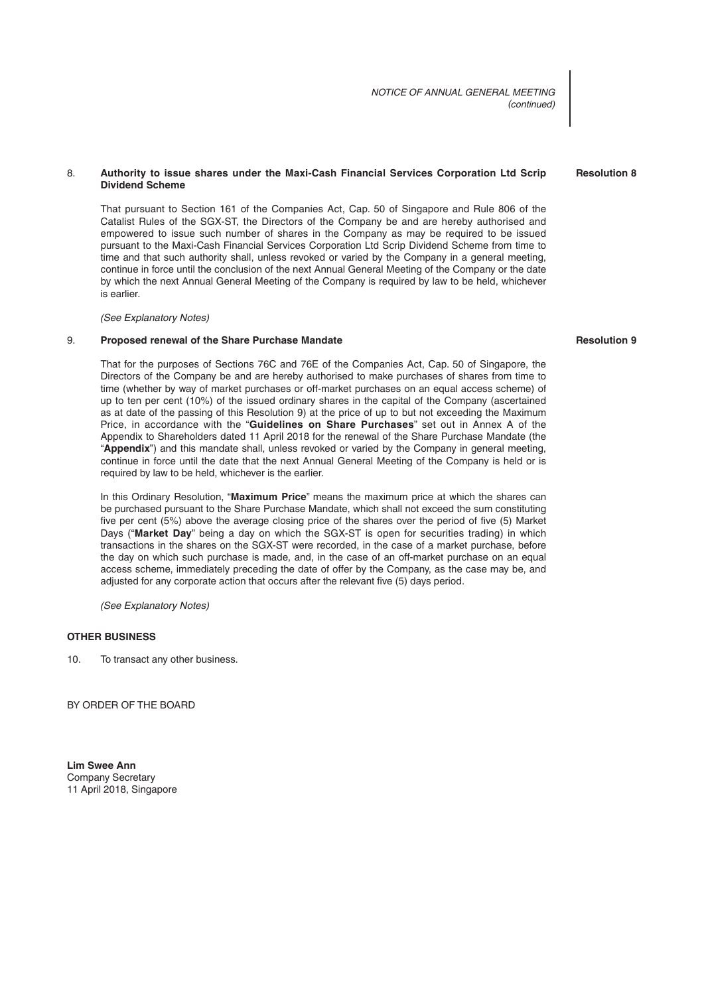*NOTICE OF ANNUAL GENERAL MEETING (continued)*

# 8. **Authority to issue shares under the Maxi-Cash Financial Services Corporation Ltd Scrip Dividend Scheme**

That pursuant to Section 161 of the Companies Act, Cap. 50 of Singapore and Rule 806 of the Catalist Rules of the SGX-ST, the Directors of the Company be and are hereby authorised and empowered to issue such number of shares in the Company as may be required to be issued pursuant to the Maxi-Cash Financial Services Corporation Ltd Scrip Dividend Scheme from time to time and that such authority shall, unless revoked or varied by the Company in a general meeting, continue in force until the conclusion of the next Annual General Meeting of the Company or the date by which the next Annual General Meeting of the Company is required by law to be held, whichever is earlier.

## *(See Explanatory Notes)*

# 9. **Proposed renewal of the Share Purchase Mandate**

That for the purposes of Sections 76C and 76E of the Companies Act, Cap. 50 of Singapore, the Directors of the Company be and are hereby authorised to make purchases of shares from time to time (whether by way of market purchases or off-market purchases on an equal access scheme) of up to ten per cent (10%) of the issued ordinary shares in the capital of the Company (ascertained as at date of the passing of this Resolution 9) at the price of up to but not exceeding the Maximum Price, in accordance with the "**Guidelines on Share Purchases**" set out in Annex A of the Appendix to Shareholders dated 11 April 2018 for the renewal of the Share Purchase Mandate (the "**Appendix**") and this mandate shall, unless revoked or varied by the Company in general meeting, continue in force until the date that the next Annual General Meeting of the Company is held or is required by law to be held, whichever is the earlier.

In this Ordinary Resolution, "**Maximum Price**" means the maximum price at which the shares can be purchased pursuant to the Share Purchase Mandate, which shall not exceed the sum constituting five per cent (5%) above the average closing price of the shares over the period of five (5) Market Days ("**Market Day**" being a day on which the SGX-ST is open for securities trading) in which transactions in the shares on the SGX-ST were recorded, in the case of a market purchase, before the day on which such purchase is made, and, in the case of an off-market purchase on an equal access scheme, immediately preceding the date of offer by the Company, as the case may be, and adjusted for any corporate action that occurs after the relevant five (5) days period.

*(See Explanatory Notes)*

# **OTHER BUSINESS**

10. To transact any other business.

BY ORDER OF THE BOARD

**Lim Swee Ann** Company Secretary 11 April 2018, Singapore

#### **Resolution 9**

**Resolution 8**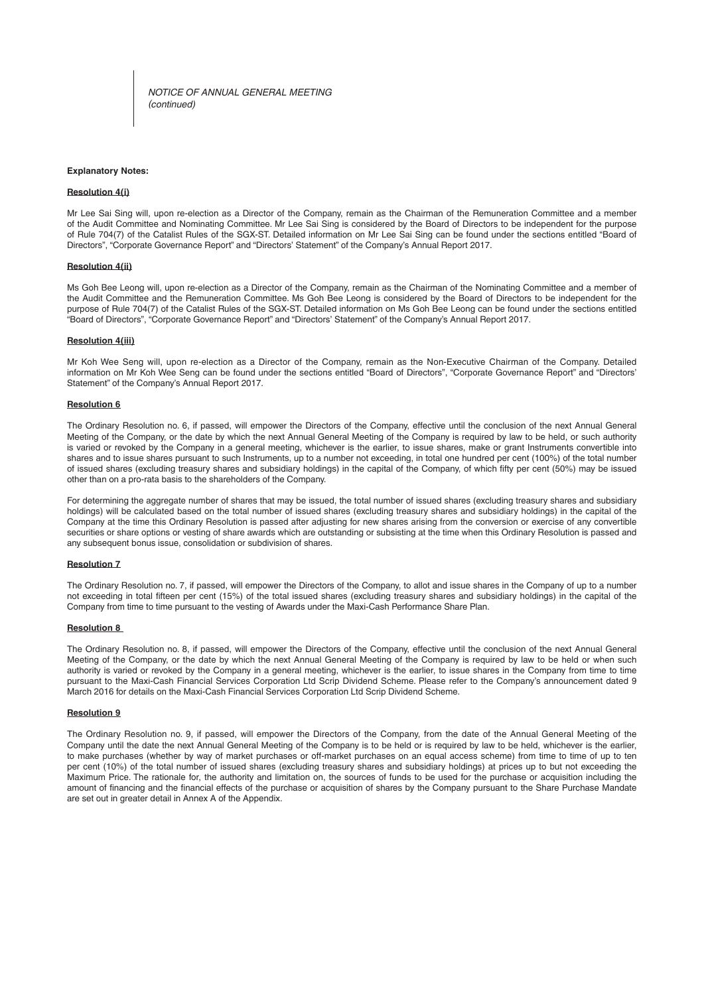*NOTICE OF ANNUAL GENERAL MEETING (continued)*

#### **Explanatory Notes:**

#### **Resolution 4(i)**

Mr Lee Sai Sing will, upon re-election as a Director of the Company, remain as the Chairman of the Remuneration Committee and a member of the Audit Committee and Nominating Committee. Mr Lee Sai Sing is considered by the Board of Directors to be independent for the purpose of Rule 704(7) of the Catalist Rules of the SGX-ST. Detailed information on Mr Lee Sai Sing can be found under the sections entitled "Board of Directors", "Corporate Governance Report" and "Directors' Statement" of the Company's Annual Report 2017.

#### **Resolution 4(ii)**

Ms Goh Bee Leong will, upon re-election as a Director of the Company, remain as the Chairman of the Nominating Committee and a member of the Audit Committee and the Remuneration Committee. Ms Goh Bee Leong is considered by the Board of Directors to be independent for the purpose of Rule 704(7) of the Catalist Rules of the SGX-ST. Detailed information on Ms Goh Bee Leong can be found under the sections entitled "Board of Directors", "Corporate Governance Report" and "Directors' Statement" of the Company's Annual Report 2017.

#### **Resolution 4(iii)**

Mr Koh Wee Seng will, upon re-election as a Director of the Company, remain as the Non-Executive Chairman of the Company. Detailed information on Mr Koh Wee Seng can be found under the sections entitled "Board of Directors", "Corporate Governance Report" and "Directors' Statement" of the Company's Annual Report 2017.

#### **Resolution 6**

The Ordinary Resolution no. 6, if passed, will empower the Directors of the Company, effective until the conclusion of the next Annual General Meeting of the Company, or the date by which the next Annual General Meeting of the Company is required by law to be held, or such authority is varied or revoked by the Company in a general meeting, whichever is the earlier, to issue shares, make or grant Instruments convertible into shares and to issue shares pursuant to such Instruments, up to a number not exceeding, in total one hundred per cent (100%) of the total number of issued shares (excluding treasury shares and subsidiary holdings) in the capital of the Company, of which fifty per cent (50%) may be issued other than on a pro-rata basis to the shareholders of the Company.

For determining the aggregate number of shares that may be issued, the total number of issued shares (excluding treasury shares and subsidiary holdings) will be calculated based on the total number of issued shares (excluding treasury shares and subsidiary holdings) in the capital of the Company at the time this Ordinary Resolution is passed after adjusting for new shares arising from the conversion or exercise of any convertible securities or share options or vesting of share awards which are outstanding or subsisting at the time when this Ordinary Resolution is passed and any subsequent bonus issue, consolidation or subdivision of shares.

#### **Resolution 7**

The Ordinary Resolution no. 7, if passed, will empower the Directors of the Company, to allot and issue shares in the Company of up to a number not exceeding in total fifteen per cent (15%) of the total issued shares (excluding treasury shares and subsidiary holdings) in the capital of the Company from time to time pursuant to the vesting of Awards under the Maxi-Cash Performance Share Plan.

#### **Resolution 8**

The Ordinary Resolution no. 8, if passed, will empower the Directors of the Company, effective until the conclusion of the next Annual General Meeting of the Company, or the date by which the next Annual General Meeting of the Company is required by law to be held or when such authority is varied or revoked by the Company in a general meeting, whichever is the earlier, to issue shares in the Company from time to time pursuant to the Maxi-Cash Financial Services Corporation Ltd Scrip Dividend Scheme. Please refer to the Company's announcement dated 9 March 2016 for details on the Maxi-Cash Financial Services Corporation Ltd Scrip Dividend Scheme.

#### **Resolution 9**

The Ordinary Resolution no. 9, if passed, will empower the Directors of the Company, from the date of the Annual General Meeting of the Company until the date the next Annual General Meeting of the Company is to be held or is required by law to be held, whichever is the earlier, to make purchases (whether by way of market purchases or off -market purchases on an equal access scheme) from time to time of up to ten per cent (10%) of the total number of issued shares (excluding treasury shares and subsidiary holdings) at prices up to but not exceeding the Maximum Price. The rationale for, the authority and limitation on, the sources of funds to be used for the purchase or acquisition including the amount of financing and the financial effects of the purchase or acquisition of shares by the Company pursuant to the Share Purchase Mandate are set out in greater detail in Annex A of the Appendix.